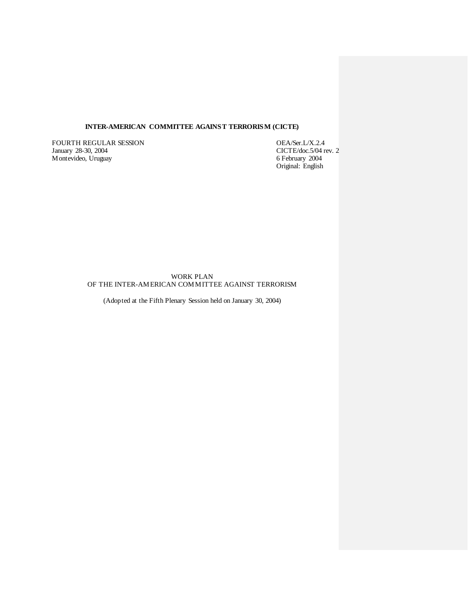# **INTER-AMERICAN COMMITTEE AGAINST TERRORISM (CICTE)**

FOURTH REGULAR SESSION OEA/Ser.L/X.2.4<br>January 28-30, 2004 CICTE/doc.5/04 r Montevideo, Uruguay

CICTE/doc.5/04 rev. 2<br>6 February 2004 Original: English

WORK PLAN OF THE INTER-AMERICAN COMMITTEE AGAINST TERRORISM

(Adopted at the Fifth Plenary Session held on January 30, 2004)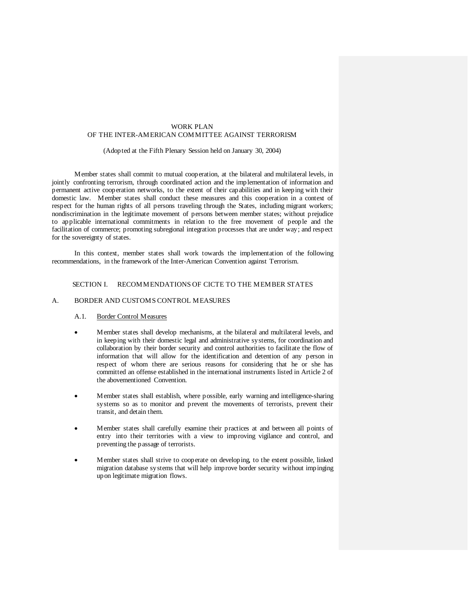### WORK PLAN OF THE INTER-AMERICAN COMMITTEE AGAINST TERRORISM

### (Adopted at the Fifth Plenary Session held on January 30, 2004)

Member states shall commit to mutual cooperation, at the bilateral and multilateral levels, in jointly confronting terrorism, through coordinated action and the implementation of information and permanent active cooperation networks, to the extent of their capabilities and in keeping with their domestic law. Member states shall conduct these measures and this cooperation in a context of respect for the human rights of all persons traveling through the States, including migrant workers; nondiscrimination in the legitimate movement of persons between member states; without prejudice to applicable international commitments in relation to the free movement of people and the facilitation of commerce; promoting subregional integration processes that are under way; and respect for the sovereignty of states.

In this context, member states shall work towards the implementation of the following recommendations, in the framework of the Inter-American Convention against Terrorism.

# SECTION I. RECOMMENDATIONS OF CICTE TO THE MEMBER STATES

# A. BORDER AND CUSTOMS CONTROL MEASURES

#### A.1. Border Control Measures

- Member states shall develop mechanisms, at the bilateral and multilateral levels, and in keeping with their domestic legal and administrative systems, for coordination and collaboration by their border security and control authorities to facilitate the flow of information that will allow for the identification and detention of any person in respect of whom there are serious reasons for considering that he or she has committed an offense established in the international instruments listed in Article 2 of the abovementioned Convention.
- Member states shall establish, where possible, early warning and intelligence-sharing systems so as to monitor and prevent the movements of terrorists, prevent their transit, and detain them.
- Member states shall carefully examine their practices at and between all points of entry into their territories with a view to improving vigilance and control, and preventing the passage of terrorists.
- Member states shall strive to cooperate on developing, to the extent possible, linked migration database systems that will help improve border security without impinging upon legitimate migration flows.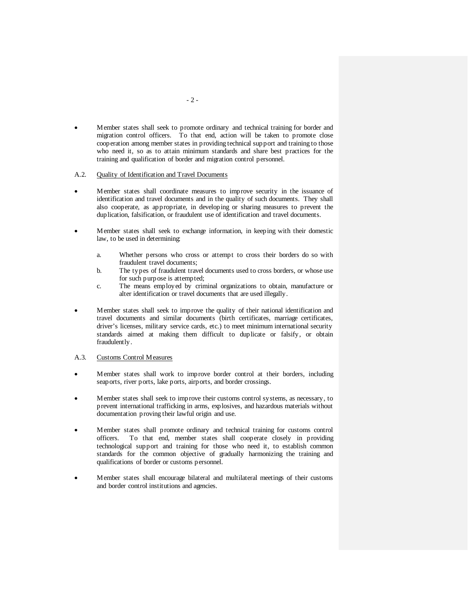• Member states shall seek to promote ordinary and technical training for border and migration control officers. To that end, action will be taken to promote close cooperation among member states in providing technical support and training to those who need it, so as to attain minimum standards and share best practices for the training and qualification of border and migration control personnel.

#### A.2. Quality of Identification and Travel Documents

- Member states shall coordinate measures to improve security in the issuance of identification and travel documents and in the quality of such documents. They shall also cooperate, as appropriate, in developing or sharing measures to prevent the duplication, falsification, or fraudulent use of identification and travel documents.
- Member states shall seek to exchange information, in keeping with their domestic law, to be used in determining:
	- a. Whether persons who cross or attempt to cross their borders do so with fraudulent travel documents;
	- b. The types of fraudulent travel documents used to cross borders, or whose use for such purpose is attempted;
	- c. The means employed by criminal organizations to obtain, manufacture or alter identification or travel documents that are used illegally.
- Member states shall seek to improve the quality of their national identification and travel documents and similar documents (birth certificates, marriage certificates, driver's licenses, military service cards, etc.) to meet minimum international security standards aimed at making them difficult to duplicate or falsify, or obtain fraudulently.

#### A.3. Customs Control Measures

- Member states shall work to improve border control at their borders, including seaports, river ports, lake ports, airports, and border crossings.
- Member states shall seek to improve their customs control systems, as necessary, to prevent international trafficking in arms, explosives, and hazardous materials without documentation proving their lawful origin and use.
- Member states shall promote ordinary and technical training for customs control officers. To that end, member states shall cooperate closely in providing technological support and training for those who need it, to establish common standards for the common objective of gradually harmonizing the training and qualifications of border or customs personnel.
- Member states shall encourage bilateral and multilateral meetings of their customs and border control institutions and agencies.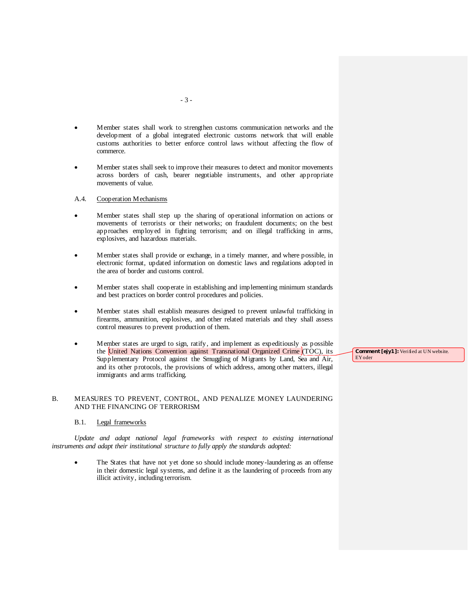- Member states shall work to strengthen customs communication networks and the development of a global integrated electronic customs network that will enable customs authorities to better enforce control laws without affecting the flow of commerce.
- Member states shall seek to improve their measures to detect and monitor movements across borders of cash, bearer negotiable instruments, and other appropriate movements of value.

#### A.4. Cooperation Mechanisms

- Member states shall step up the sharing of operational information on actions or movements of terrorists or their networks; on fraudulent documents; on the best approaches employed in fighting terrorism; and on illegal trafficking in arms, explosives, and hazardous materials.
- Member states shall provide or exchange, in a timely manner, and where possible, in electronic format, updated information on domestic laws and regulations adopted in the area of border and customs control.
- Member states shall cooperate in establishing and implementing minimum standards and best practices on border control procedures and policies.
- Member states shall establish measures designed to prevent unlawful trafficking in firearms, ammunition, explosives, and other related materials and they shall assess control measures to prevent production of them.
- Member states are urged to sign, ratify, and implement as expeditiously as possible the United Nations Convention against Transnational Organized Crime (TOC), its Supplementary Protocol against the Smuggling of Migrants by Land, Sea and Air, and its other protocols, the provisions of which address, among other matters, illegal immigrants and arms trafficking.

#### B. MEASURES TO PREVENT, CONTROL, AND PENALIZE MONEY LAUNDERING AND THE FINANCING OF TERRORISM

#### B.1. Legal frameworks

*Update and adapt national legal frameworks with respect to existing international instruments and adapt their institutional structure to fully apply the standards adopted:* 

<span id="page-4-0"></span>The States that have not yet done so should include money-laundering as an offense in their domestic legal systems, and define it as the laundering of proceeds from any illicit activity, including terrorism.

**Comment [ejy1]:** Verified at UN website. EYoder

- 3 -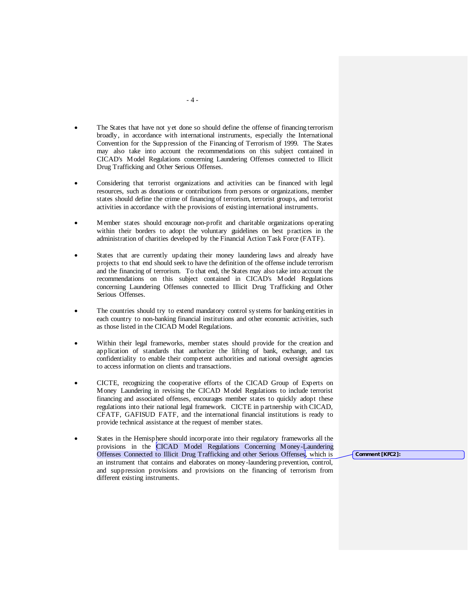- The States that have not yet done so should define the offense of financing terrorism broadly, in accordance with international instruments, especially the International Convention for the Suppression of the Financing of Terrorism of 1999. The States may also take into account the recommendations on this subject contained in CICAD's Model Regulations concerning Laundering Offenses connected to Illicit Drug Trafficking and Other Serious Offenses.
- Considering that terrorist organizations and activities can be financed with legal resources, such as donations or contributions from persons or organizations, member states should define the crime of financing of terrorism, terrorist groups, and terrorist activities in accordance with the provisions of existing international instruments.
- Member states should encourage non-profit and charitable organizations operating within their borders to adopt the voluntary guidelines on best practices in the administration of charities developed by the Financial Action Task Force (FATF).
- States that are currently updating their money laundering laws and already have projects to that end should seek to have the definition of the offense include terrorism and the financing of terrorism. To that end, the States may also take into account the recommendations on this subject contained in CICAD's Model Regulations concerning Laundering Offenses connected to Illicit Drug Trafficking and Other Serious Offenses.
- The countries should try to extend mandatory control systems for banking entities in each country to non-banking financial institutions and other economic activities, such as those listed in the CICAD Model Regulations.
- Within their legal frameworks, member states should provide for the creation and application of standards that authorize the lifting of bank, exchange, and tax confidentiality to enable their competent authorities and national oversight agencies to access information on clients and transactions.
- CICTE, recognizing the cooperative efforts of the CICAD Group of Experts on Money Laundering in revising the CICAD Model Regulations to include terrorist financing and associated offenses, encourages member states to quickly adopt these regulations into their national legal framework. CICTE in partnership with CICAD, CFATF, GAFISUD FATF, and the international financial institutions is ready to provide technical assistance at the request of member states.
- States in the Hemisphere should incorporate into their regulatory frameworks all the provisions in the CICAD Model Regulations Concerning Money-Laundering Offenses Connected to Illicit Drug Trafficking and other Serious Offenses, which is an instrument that contains and elaborates on money-laundering prevention, control, and suppression provisions and provisions on the financing of terrorism from different existing instruments.

**Comment [KFC2]:**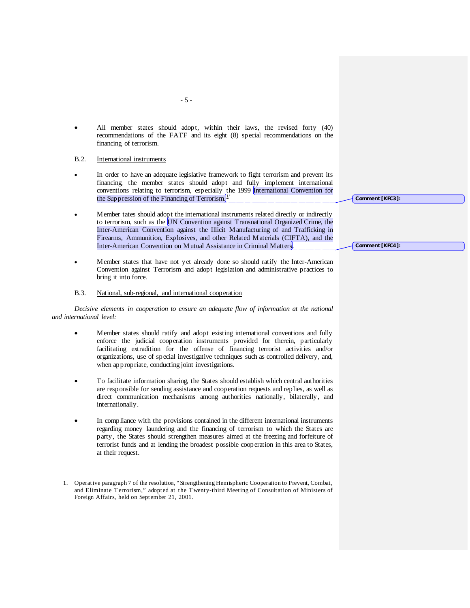• All member states should adopt, within their laws, the revised forty (40) recommendations of the FATF and its eight (8) special recommendations on the financing of terrorism.

### B.2. International instruments

- In order to have an adequate legislative framework to fight terrorism and prevent its financing, the member states should adopt and fully implement international conventions relating to terrorism, especially the 1999 International Convention for the Suppression of the Financing of Terrorism. $\frac{1}{\mu}$
- Member tates should adopt the international instruments related directly or indirectly to terrorism, such as the UN Convention against Transnational Organized Crime, the Inter-American Convention against the Illicit Manufacturing of and Trafficking in Firearms, Ammunition, Explosives, and other Related Materials (CIFTA), and the Inter-American Convention on Mutual Assistance in Criminal Matters.
- Member states that have not yet already done so should ratify the Inter-American Convention against Terrorism and adopt legislation and administrative practices to bring it into force.

# B.3. National, sub-regional, and international cooperation

*Decisive elements in cooperation to ensure an adequate flow of information at the national and international level:*

- Member states should ratify and adopt existing international conventions and fully enforce the judicial cooperation instruments provided for therein, particularly facilitating extradition for the offense of financing terrorist activities and/or organizations, use of special investigative techniques such as controlled delivery, and, when appropriate, conducting joint investigations.
- To facilitate information sharing, the States should establish which central authorities are responsible for sending assistance and cooperation requests and replies, as well as direct communication mechanisms among authorities nationally, bilaterally, and internationally.
- In compliance with the provisions contained in the different international instruments regarding money laundering and the financing of terrorism to which the States are party, the States should strengthen measures aimed at the freezing and forfeiture of terrorist funds and at lending the broadest possible cooperation in this area to States, at their request.

**Comment [KFC3]:** 

**Comment [KFC4]:** 

- 5 -

<span id="page-6-0"></span> <sup>1.</sup> Operative paragraph 7 of the resolution, "Strengthening Hemispheric Cooperation to Prevent, Combat, and Eliminate T errorism," adopted at the T wenty-third Meeting of Consultation of Ministers of Foreign Affairs, held on September 21, 2001.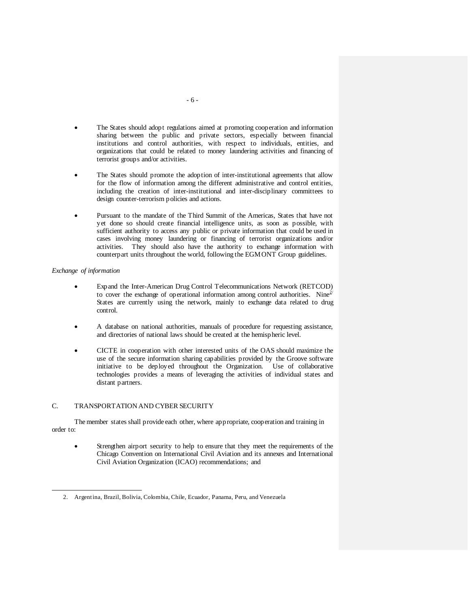- The States should adopt regulations aimed at promoting cooperation and information sharing between the public and private sectors, especially between financial institutions and control authorities, with respect to individuals, entities, and organizations that could be related to money laundering activities and financing of terrorist groups and/or activities.
- The States should promote the adoption of inter-institutional agreements that allow for the flow of information among the different administrative and control entities, including the creation of inter-institutional and inter-disciplinary committees to design counter-terrorism policies and actions.
- Pursuant to the mandate of the Third Summit of the Americas, States that have not yet done so should create financial intelligence units, as soon as possible, with sufficient authority to access any public or private information that could be used in cases involving money laundering or financing of terrorist organizations and/or activities. They should also have the authority to exchange information with counterpart units throughout the world, following the EGMONT Group guidelines.

# *Exchange of information*

 $\overline{a}$ 

- Expand the Inter-American Drug Control Telecommunications Network (RETCOD) to cover the exchange of operational information among control authorities. Nine<sup>[2](#page-6-0)/</sup> States are currently using the network, mainly to exchange data related to drug control.
- A database on national authorities, manuals of procedure for requesting assistance, and directories of national laws should be created at the hemispheric level.
- CICTE in cooperation with other interested units of the OAS should maximize the use of the secure information sharing capabilities provided by the Groove software initiative to be deployed throughout the Organization. Use of collaborative technologies provides a means of leveraging the activities of individual states and distant partners.

# C. TRANSPORTATION AND CYBER SECURITY

The member states shall provide each other, where appropriate, cooperation and training in order to:

Strengthen airport security to help to ensure that they meet the requirements of the Chicago Convention on International Civil Aviation and its annexes and International Civil Aviation Organization (ICAO) recommendations; and

<sup>2.</sup> Argentina, Brazil, Bolivia, Colombia, Chile, Ecuador, Panama, Peru, and Venezuela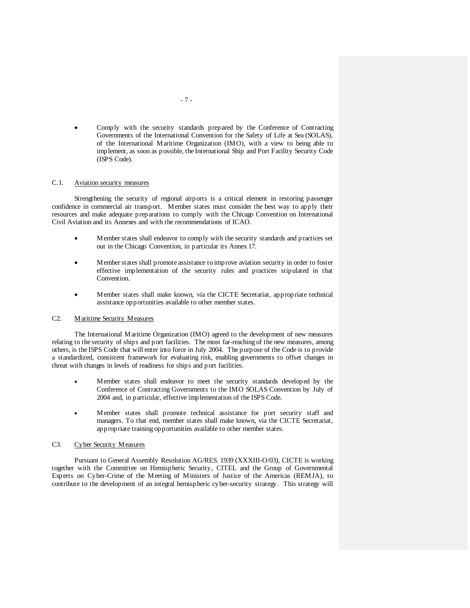• Comply with the security standards prepared by the Conference of Contracting Governments of the International Convention for the Safety of Life at Sea (SOLAS), of the International Maritime Organization (IMO), with a view to being able to implement, as soon as possible, the International Ship and Port Facility Security Code (ISPS Code).

#### C.1. Aviation security measures

Strengthening the security of regional airports is a critical element in restoring passenger confidence in commercial air transport. Member states must consider the best way to apply their resources and make adequate preparations to comply with the Chicago Convention on International Civil Aviation and its Annexes and with the recommendations of ICAO.

- Member states shall endeavor to comply with the security standards and practices set out in the Chicago Convention, in particular its Annex 17.
- Member states shall promote assistance to improve aviation security in order to foster effective implementation of the security rules and practices stipulated in that Convention.
- Member states shall make known, via the CICTE Secretariat, appropriate technical assistance opportunities available to other member states.

#### C2. Maritime Security Measures

The International Maritime Organization (IMO) agreed to the development of new measures relating to the security of ships and port facilities. The most far-reaching of the new measures, among others, is the ISPS Code that will enter into force in July 2004. The purpose of the Code is to provide a standardized, consistent framework for evaluating risk, enabling governments to offset changes in threat with changes in levels of readiness for ships and port facilities.

- Member states shall endeavor to meet the security standards developed by the Conference of Contracting Governments to the IMO SOLAS Convention by July of 2004 and, in particular, effective implementation of the ISPS Code.
- Member states shall promote technical assistance for port security staff and managers. To that end, member states shall make known, via the CICTE Secretariat, appropriate training opportunities available to other member states.

### C3. Cyber Security Measures

Pursuant to General Assembly Resolution AG/RES. 1939 (XXXIII-O/03), CICTE is working together with the Committee on Hemispheric Security, CITEL and the Group of Governmental Experts on Cyber-Crime of the Meeting of Ministers of Justice of the Americas (REMJA), to contribute to the development of an integral hemispheric cyber-security strategy. This strategy will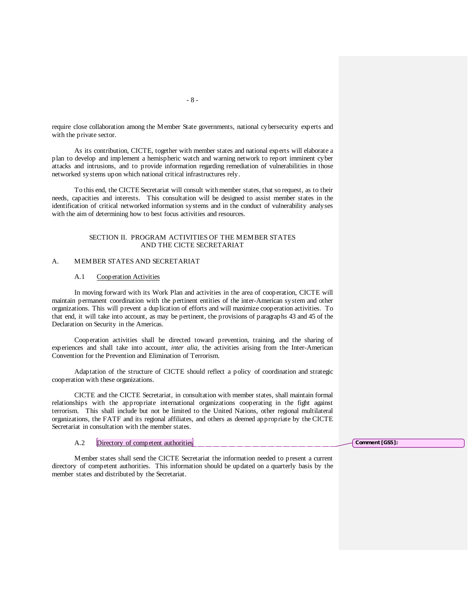require close collaboration among the Member State governments, national cybersecurity experts and with the private sector.

As its contribution, CICTE, together with member states and national experts will elaborate a plan to develop and implement a hemispheric watch and warning network to report imminent cyber attacks and intrusions, and to provide information regarding remediation of vulnerabilities in those networked systems upon which national critical infrastructures rely.

To this end, the CICTE Secretariat will consult with member states, that so request, as to their needs, capacities and interests. This consultation will be designed to assist member states in the identification of critical networked information systems and in the conduct of vulnerability analyses with the aim of determining how to best focus activities and resources.

### SECTION II. PROGRAM ACTIVITIES OF THE MEMBER STATES AND THE CICTE SECRETARIAT

#### A. MEMBER STATES AND SECRETARIAT

#### A.1 Cooperation Activities

In moving forward with its Work Plan and activities in the area of cooperation, CICTE will maintain permanent coordination with the pertinent entities of the inter-American system and other organizations. This will prevent a duplication of efforts and will maximize cooperation activities. To that end, it will take into account, as may be pertinent, the provisions of paragraphs 43 and 45 of the Declaration on Security in the Americas.

Cooperation activities shall be directed toward prevention, training, and the sharing of experiences and shall take into account, *inter alia*, the activities arising from the Inter-American Convention for the Prevention and Elimination of Terrorism.

Adaptation of the structure of CICTE should reflect a policy of coordination and strategic cooperation with these organizations.

CICTE and the CICTE Secretariat, in consultation with member states, shall maintain formal relationships with the appropriate international organizations cooperating in the fight against terrorism. This shall include but not be limited to the United Nations, other regional multilateral organizations, the FATF and its regional affiliates, and others as deemed appropriate by the CICTE Secretariat in consultation with the member states.

#### A.2 Directory of competent authorities

Member states shall send the CICTE Secretariat the information needed to present a current directory of competent authorities. This information should be updated on a quarterly basis by the member states and distributed by the Secretariat.

**Comment [GS5]:** 

- 8 -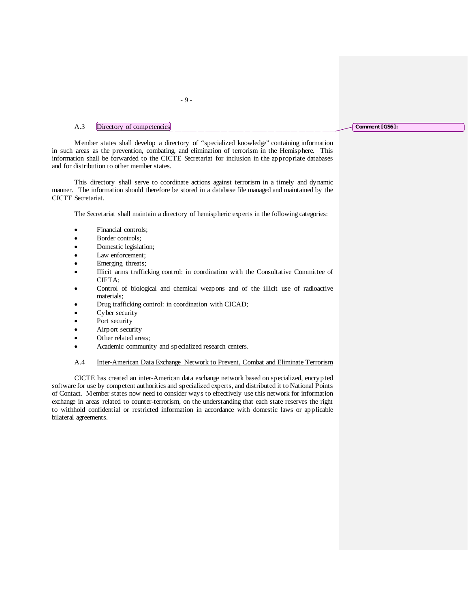# A.3 Directory of competencies

Member states shall develop a directory of "specialized knowledge" containing information in such areas as the prevention, combating, and elimination of terrorism in the Hemisphere. This information shall be forwarded to the CICTE Secretariat for inclusion in the appropriate databases and for distribution to other member states.

- 9 -

This directory shall serve to coordinate actions against terrorism in a timely and dynamic manner. The information should therefore be stored in a database file managed and maintained by the CICTE Secretariat.

The Secretariat shall maintain a directory of hemispheric experts in the following categories:

- Financial controls;
- Border controls;
- Domestic legislation;
- Law enforcement;
- Emerging threats;
- Illicit arms trafficking control: in coordination with the Consultative Committee of CIFTA;
- Control of biological and chemical weapons and of the illicit use of radioactive materials;
- Drug trafficking control: in coordination with CICAD;
- Cyber security
- Port security
- Airport security
- Other related areas;
- Academic community and specialized research centers.

A.4 Inter-American Data Exchange Network to Prevent, Combat and Eliminate Terrorism

CICTE has created an inter-American data exchange network based on specialized, encrypted software for use by competent authorities and specialized experts, and distributed it to National Points of Contact. Member states now need to consider ways to effectively use this network for information exchange in areas related to counter-terrorism, on the understanding that each state reserves the right to withhold confidential or restricted information in accordance with domestic laws or applicable bilateral agreements.

#### **Comment [GS6]:**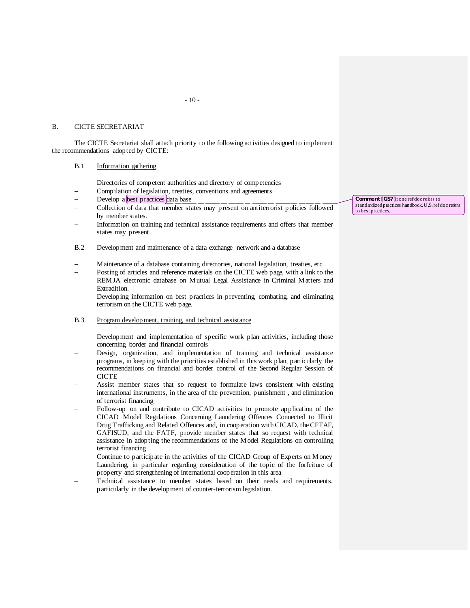#### B. CICTE SECRETARIAT

The CICTE Secretariat shall attach priority to the following activities designed to implement the recommendations adopted by CICTE:

# B.1 Information gathering

- Directories of competent authorities and directory of competencies
- − Compilation of legislation, treaties, conventions and agreements
- Develop a best practices data base
- − Collection of data that member states may present on antiterrorist policies followed by member states.
- Information on training and technical assistance requirements and offers that member states may present.

### B.2 Development and maintenance of a data exchange network and a database

- − Maintenance of a database containing directories, national legislation, treaties, etc.
- Posting of articles and reference materials on the CICTE web page, with a link to the REMJA electronic database on Mutual Legal Assistance in Criminal Matters and Extradition.
- Developing information on best practices in preventing, combating, and eliminating terrorism on the CICTE web page.
- B.3 Program development, training, and technical assistance
- Development and implementation of specific work plan activities, including those concerning border and financial controls
- Design, organization, and implementation of training and technical assistance programs, in keeping with the priorities established in this work plan, particularly the recommendations on financial and border control of the Second Regular Session of **CICTE**
- Assist member states that so request to formulate laws consistent with existing international instruments, in the area of the prevention, punishment , and elimination of terrorist financing
- Follow-up on and contribute to CICAD activities to promote application of the CICAD Model Regulations Concerning Laundering Offences Connected to Illicit Drug Trafficking and Related Offences and, in cooperation with CICAD, the CFTAF, GAFISUD, and the FATF, provide member states that so request with technical assistance in adopting the recommendations of the Model Regulations on controlling terrorist financing
- Continue to participate in the activities of the CICAD Group of Experts on Money Laundering, in particular regarding consideration of the topic of the forfeiture of property and strengthening of international cooperation in this area
- Technical assistance to member states based on their needs and requirements, particularly in the development of counter-terrorism legislation.

**Comment [GS7]:** one ref doc refers to standardized practices handbook. U.S. ref doc refers to best practices.

 $-10-$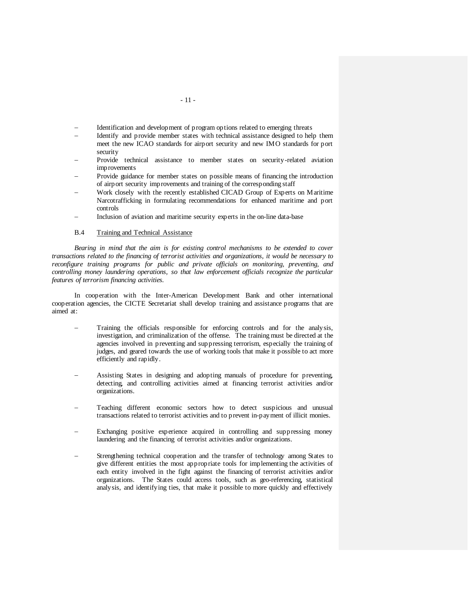- Identification and development of program options related to emerging threats
- − Identify and provide member states with technical assistance designed to help them meet the new ICAO standards for airport security and new IMO standards for port security
- Provide technical assistance to member states on security-related aviation improvements
- Provide guidance for member states on possible means of financing the introduction of airport security improvements and training of the corresponding staff
- Work closely with the recently established CICAD Group of Experts on Maritime Narcotrafficking in formulating recommendations for enhanced maritime and port controls
- Inclusion of aviation and maritime security experts in the on-line data-base

# B.4 Training and Technical Assistance

*Bearing in mind that the aim is for existing control mechanisms to be extended to cover transactions related to the financing of terrorist activities and organizations, it would be necessary to reconfigure training programs for public and private officials on monitoring, preventing, and controlling money laundering operations, so that law enforcement officials recognize the particular features of terrorism financing activities.*

In cooperation with the Inter-American Development Bank and other international cooperation agencies, the CICTE Secretariat shall develop training and assistance programs that are aimed at:

- Training the officials responsible for enforcing controls and for the analysis, investigation, and criminalization of the offense. The training must be directed at the agencies involved in preventing and suppressing terrorism, especially the training of judges, and geared towards the use of working tools that make it possible to act more efficiently and rapidly.
- − Assisting States in designing and adopting manuals of procedure for preventing, detecting, and controlling activities aimed at financing terrorist activities and/or organizations.
- Teaching different economic sectors how to detect suspicious and unusual transactions related to terrorist activities and to prevent in-payment of illicit monies.
- Exchanging positive experience acquired in controlling and suppressing money laundering and the financing of terrorist activities and/or organizations.
- Strengthening technical cooperation and the transfer of technology among States to give different entities the most appropriate tools for implementing the activities of each entity involved in the fight against the financing of terrorist activities and/or organizations. The States could access tools, such as geo-referencing, statistical analysis, and identifying ties, that make it possible to more quickly and effectively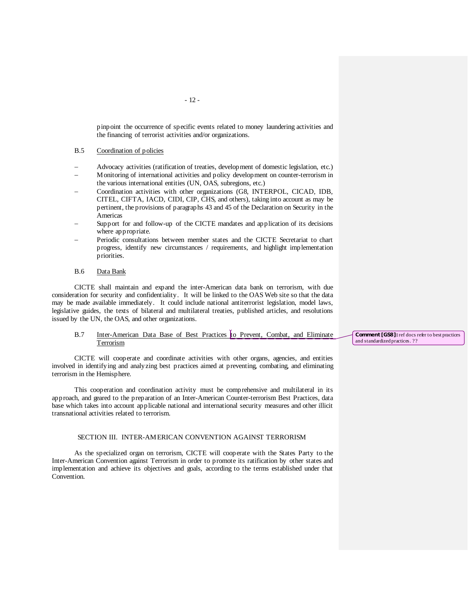pinpoint the occurrence of specific events related to money laundering activities and the financing of terrorist activities and/or organizations.

### B.5 Coordination of policies

- − Advocacy activities (ratification of treaties, development of domestic legislation, etc.)
- − Monitoring of international activities and policy development on counter-terrorism in the various international entities (UN, OAS, subregions, etc.)
- − Coordination activities with other organizations (G8, INTERPOL, CICAD, IDB, CITEL, CIFTA, IACD, CIDI, CIP, CHS, and others), taking into account as may be pertinent, the provisions of paragraphs 43 and 45 of the Declaration on Security in the Americas
- Support for and follow-up of the CICTE mandates and application of its decisions where appropriate.
- Periodic consultations between member states and the CICTE Secretariat to chart progress, identify new circumstances / requirements, and highlight implementation priorities.

### B.6 Data Bank

CICTE shall maintain and expand the inter-American data bank on terrorism, with due consideration for security and confidentiality. It will be linked to the OAS Web site so that the data may be made available immediately. It could include national antiterrorist legislation, model laws, legislative guides, the texts of bilateral and multilateral treaties, published articles, and resolutions issued by the UN, the OAS, and other organizations.

# B.7 Inter-American Data Base of Best Practices to Prevent, Combat, and Eliminate Terrorism

CICTE will cooperate and coordinate activities with other organs, agencies, and entities involved in identifying and analyzing best practices aimed at preventing, combating, and eliminating terrorism in the Hemisphere.

This cooperation and coordination activity must be comprehensive and multilateral in its approach, and geared to the preparation of an Inter-American Counter-terrorism Best Practices, data base which takes into account applicable national and international security measures and other illicit transnational activities related to terrorism.

#### SECTION III. INTER-AMERICAN CONVENTION AGAINST TERRORISM

As the specialized organ on terrorism, CICTE will cooperate with the States Party to the Inter-American Convention against Terrorism in order to promote its ratification by other states and implementation and achieve its objectives and goals, according to the terms established under that Convention.

**Comment [GS8]:** ref docs refer to best practices and standardized practices. ??